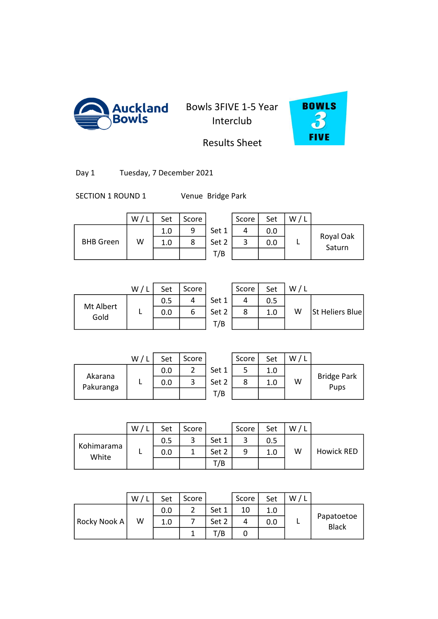

Auckland Bowls 3FIVE 1-5 Year Interclub



## Results Sheet

Day 1 Tuesday, 7 December 2021

SECTION 1 ROUND 1 Venue Bridge Park

|                  | W | Set | Score |       | Score | Set | W/L |                     |
|------------------|---|-----|-------|-------|-------|-----|-----|---------------------|
|                  |   | 1.0 | 9     | Set 1 | 4     | 0.0 |     |                     |
| <b>BHB</b> Green | W | 1.0 | 8     | Set 2 | 3     | 0.0 |     | Royal Oak<br>Saturn |
|                  |   |     |       | T/B   |       |     |     |                     |
|                  |   |     |       |       |       |     |     |                     |

|                   | W/L | Set | Score |       | Score | Set | / L<br>W |
|-------------------|-----|-----|-------|-------|-------|-----|----------|
|                   |     | 0.5 |       | Set 1 |       | 0.5 |          |
| Mt Albert<br>Gold |     | 0.0 | 6     | Set 2 |       | 1.0 | W        |
|                   |     |     |       | T/B   |       |     |          |
|                   |     |     |       |       |       |     |          |

| W/L | Set | Score |       | Score | Set | W/I |                 |
|-----|-----|-------|-------|-------|-----|-----|-----------------|
|     | 0.5 |       | Set 1 |       | 0.5 |     |                 |
|     | 0.0 | ь     | Set 2 |       | 1.0 | W   | St Heliers Blue |
|     |     |       | T/B   |       |     |     |                 |

|           | W | Set | Score |       | Score | Set | W |                    |
|-----------|---|-----|-------|-------|-------|-----|---|--------------------|
|           |   | 0.0 | ◠     | Set 1 |       | 1.0 |   |                    |
| Akarana   |   | 0.0 | ◠     | Set 2 | 8     | 1.0 | W | <b>Bridge Park</b> |
| Pakuranga |   |     |       | T/B   |       |     |   | Pups               |

|                     | W | Set | Score |       | Score | Set | W |                   |
|---------------------|---|-----|-------|-------|-------|-----|---|-------------------|
|                     |   | 0.5 |       | Set 1 |       | 0.5 |   |                   |
| Kohimarama<br>White |   | 0.0 |       | Set 2 | 9     | 1.0 | W | <b>Howick RED</b> |
|                     |   |     |       | T/B   |       |     |   |                   |

|              | W/ | Set | Score          |       | Score | Set | W/L |                            |
|--------------|----|-----|----------------|-------|-------|-----|-----|----------------------------|
|              |    | 0.0 | $\overline{2}$ | Set 1 | 10    | 1.0 |     |                            |
| Rocky Nook A | W  | 1.0 |                | Set 2 | 4     | 0.0 |     | Papatoetoe<br><b>Black</b> |
|              |    |     |                | T/B   | 0     |     |     |                            |
|              |    |     |                |       |       |     |     |                            |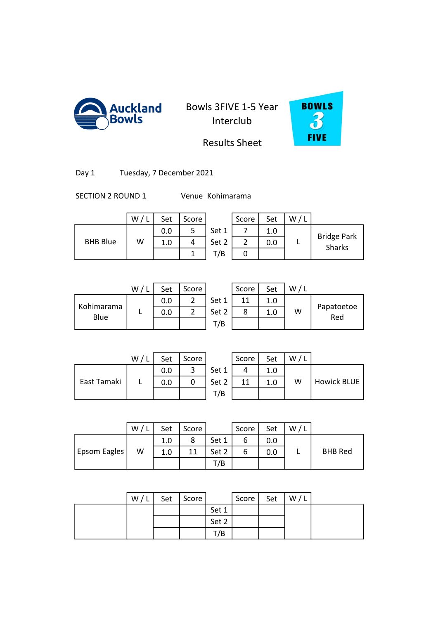



Bridge Park Sharks

## Results Sheet

| Tuesday, 7 December 2021<br>Day 1 |
|-----------------------------------|
|-----------------------------------|

SECTION 2 ROUND 1 Venue Kohimarama

|                 | W/L | Set | Score |       | Score | Set | W/L |
|-----------------|-----|-----|-------|-------|-------|-----|-----|
|                 |     | 0.0 | 5     | Set 1 |       | 1.0 |     |
| <b>BHB Blue</b> | W   | 1.0 |       | Set 2 |       | 0.0 |     |
|                 |     |     |       | T/B   |       |     |     |
|                 |     |     |       |       |       |     |     |

|                    | W/L | Set | Score |       | Score | Set |   |
|--------------------|-----|-----|-------|-------|-------|-----|---|
|                    |     | 0.0 |       | Set 1 | 11    | 1.0 |   |
| Kohimarama<br>Blue |     | 0.0 |       | Set 2 | 8     | 1.0 | W |
|                    |     |     |       | T/B   |       |     |   |
|                    |     |     |       |       |       |     |   |

|                 | W | Set | Score    |       | Score | Set | W |                   |
|-----------------|---|-----|----------|-------|-------|-----|---|-------------------|
|                 |   | 0.0 |          | Set 1 | 11    | 1.0 |   |                   |
| imarama<br>Blue |   | 0.0 | <u>.</u> | Set 2 |       | 1.0 | W | Papatoetoe<br>Red |
|                 |   |     |          | T/B   |       |     |   |                   |

|             | W/ | Set | Score |       | Score | Set | W/ |                    |
|-------------|----|-----|-------|-------|-------|-----|----|--------------------|
|             |    | 0.0 |       | Set 1 |       | 1.0 |    |                    |
| East Tamaki |    | 0.0 |       | Set 2 | 11    | 1.0 | W  | <b>Howick BLUE</b> |
|             |    |     |       | T/B   |       |     |    |                    |

|      | Score | Set | W / |             |
|------|-------|-----|-----|-------------|
| et 1 |       | 1.0 |     |             |
| et 2 | 11    | 1.0 | w   | Howick BLUE |
| '/B  |       |     |     |             |

|              | W | Set | Score |       | Score | Set | W |                |
|--------------|---|-----|-------|-------|-------|-----|---|----------------|
|              |   | 1.0 | 8     | Set 1 |       | 0.0 |   |                |
| Epsom Eagles | W | 1.0 | 11    | Set 2 | o     | 0.0 |   | <b>BHB Red</b> |
|              |   |     |       | T/B   |       |     |   |                |

| W/L | Set | Score |       | Score | Set | W/I |  |
|-----|-----|-------|-------|-------|-----|-----|--|
|     |     |       | Set 1 |       |     |     |  |
|     |     |       | Set 2 |       |     |     |  |
|     |     |       | /B    |       |     |     |  |
|     |     |       |       |       |     |     |  |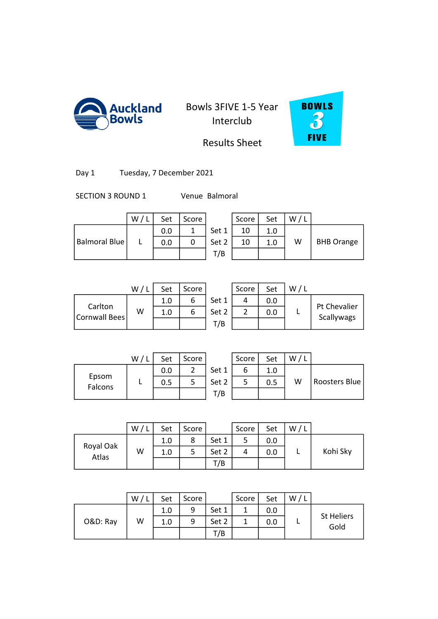



## Results Sheet

| Tuesday, 7 December 2021<br>Day 1 |
|-----------------------------------|
|-----------------------------------|

SECTION 3 ROUND 1 Venue Balmoral

|                      | W/L | Set | Score |       | Score | Set | W |
|----------------------|-----|-----|-------|-------|-------|-----|---|
|                      |     | 0.0 |       | Set 1 |       | 1.0 |   |
| <b>Balmoral Blue</b> |     | 0.0 |       | Set 2 |       | 1.0 | W |
|                      |     |     |       | T/B   |       |     |   |

|   | Set | Score |       | Score | Set | W/L |                   |
|---|-----|-------|-------|-------|-----|-----|-------------------|
|   | 0.0 |       | Set 1 | 10    | 1.0 |     |                   |
| L | 0.0 |       | Set 2 | 10    | 1.0 | W   | <b>BHB Orange</b> |
|   |     |       | T/B   |       |     |     |                   |
|   |     |       |       |       |     |     |                   |

|                          | W | Set | Score |       | Score | Set | W/1 |                            |
|--------------------------|---|-----|-------|-------|-------|-----|-----|----------------------------|
|                          |   | 1.0 |       | Set 1 | 4     | 0.0 |     |                            |
| Carlton<br>Cornwall Bees | W | 1.0 |       | Set 2 |       | 0.0 |     | Pt Chevalier<br>Scallywags |
|                          |   |     |       | T/B   |       |     |     |                            |

| W/ | Set | Score |       | Score | Set | W/L |                            |
|----|-----|-------|-------|-------|-----|-----|----------------------------|
|    | 1.0 | 6     | Set 1 | 4     | 0.0 |     |                            |
| W  | 1.0 | 6     | Set 2 |       | 0.0 |     | Pt Chevalier<br>Scallywags |
|    |     |       | T/B   |       |     |     |                            |
|    |     |       |       |       |     |     |                            |

|                  | W | Set | Score |       | Score | Set | W |
|------------------|---|-----|-------|-------|-------|-----|---|
|                  |   | 0.0 |       | Set 1 |       | 1.0 |   |
| Epsom<br>Falcons |   | 0.5 |       | Set 2 |       | 0.5 | W |
|                  |   |     |       | T/B   |       |     |   |

|                  | W, | Set | Score |       | Score | Set | W |               |
|------------------|----|-----|-------|-------|-------|-----|---|---------------|
|                  |    | 0.0 |       | Set 1 |       | 1.0 |   |               |
| Epsom<br>Falcons |    | 0.5 |       | Set 2 |       | 0.5 | W | Roosters Blue |
|                  |    |     |       | T/B   |       |     |   |               |

|                    | W <sub>1</sub> | Set | Score |       | Score | Set | W, |          |
|--------------------|----------------|-----|-------|-------|-------|-----|----|----------|
|                    |                | 1.0 | 8     | Set 1 |       | 0.0 |    |          |
| Royal Oak<br>Atlas | W              | 1.0 | כ     | Set 2 | 4     | 0.0 |    | Kohi Sky |
|                    |                |     |       | T/B   |       |     |    |          |

|          | W | Set | Score |       | Score | Set | W/ |                   |
|----------|---|-----|-------|-------|-------|-----|----|-------------------|
|          |   | 1.0 | 9     | Set 1 |       | 0.0 |    | <b>St Heliers</b> |
| O&D: Ray | W | 1.0 | 9     | Set 2 |       | 0.0 |    | Gold              |
|          |   |     |       | T/B   |       |     |    |                   |
|          |   |     |       |       |       |     |    |                   |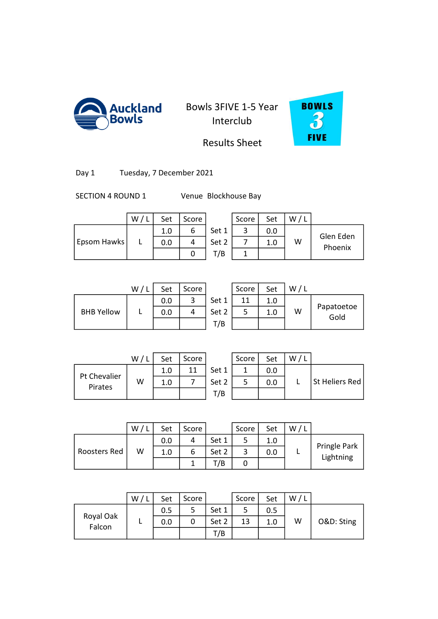



## Results Sheet

Day 1 Tuesday, 7 December 2021

SECTION 4 ROUND 1 Venue Blockhouse Bay

|             | W | Set | Score |       | Score | Set | W/L |                      |
|-------------|---|-----|-------|-------|-------|-----|-----|----------------------|
|             |   | 1.0 | ь     | Set 1 | 3     | 0.0 |     |                      |
| Epsom Hawks |   | 0.0 | 4     | Set 2 |       | 1.0 | W   | Glen Eden<br>Phoenix |
|             |   |     |       | T/B   |       |     |     |                      |
|             |   |     |       |       |       |     |     |                      |

|                   | W/L | Set | Score |       | Score | Set | / L<br>W |
|-------------------|-----|-----|-------|-------|-------|-----|----------|
|                   |     | 0.0 |       | Set 1 | 11    | 1.0 |          |
| <b>BHB Yellow</b> |     | 0.0 |       | Set 2 |       | 1.0 | W        |
|                   |     |     |       | T/B   |       |     |          |
|                   |     |     |       |       |       |     |          |

|                   | W | Set | Score |       | Score | Set | W/1 |                    |
|-------------------|---|-----|-------|-------|-------|-----|-----|--------------------|
|                   |   | 0.0 | 2     | Set 1 | 11    | 1.0 |     |                    |
| <b>BHB Yellow</b> |   | 0.0 |       | Set 2 |       | 1.0 | W   | Papatoetoe<br>Gold |
|                   |   |     |       | T/B   |       |     |     |                    |

|                         | W | Set | Score |       | Score | Set | W |                       |
|-------------------------|---|-----|-------|-------|-------|-----|---|-----------------------|
|                         |   | 1.0 | 11    | Set 1 |       | 0.0 |   |                       |
| Pt Chevalier<br>Pirates | W | 1.0 |       | Set 2 |       | 0.0 |   | <b>St Heliers Red</b> |
|                         |   |     |       | T/B   |       |     |   |                       |

|    | Score | Set | W/ |                |
|----|-------|-----|----|----------------|
|    |       | 0.0 |    |                |
| -2 |       | 0.0 |    | St Heliers Red |
| B  |       |     |    |                |

|              | W | Set | Score |       | Score | Set | W |                           |
|--------------|---|-----|-------|-------|-------|-----|---|---------------------------|
|              |   | 0.0 | 4     | Set 1 |       | 1.0 |   |                           |
| Roosters Red | W | 1.0 | b     | Set 2 |       | 0.0 |   | Pringle Park<br>Lightning |
|              |   |     |       | T/B   | U     |     |   |                           |

|                     | W | Set | Score |       | Score | Set | W |            |
|---------------------|---|-----|-------|-------|-------|-----|---|------------|
|                     |   | 0.5 | 5     | Set 1 | 5     | 0.5 |   |            |
| Royal Oak<br>Falcon |   | 0.0 | 0     | Set 2 | 13    | 1.0 | W | O&D: Sting |
|                     |   |     |       | T/B   |       |     |   |            |
|                     |   |     |       |       |       |     |   |            |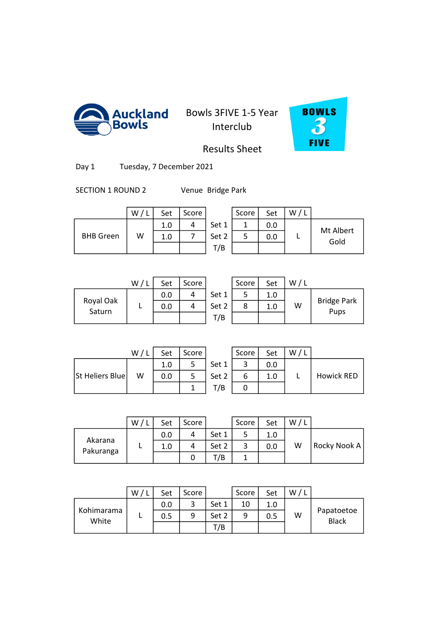



Results Sheet

Day 1 Tuesday, 7 December 2021

SECTION 1 ROUND 2 Venue Bridge Park

|                  | W | Set | Score |       | Score | Set | W/L |           |
|------------------|---|-----|-------|-------|-------|-----|-----|-----------|
|                  |   | 1.0 |       | Set 1 |       | 0.0 |     | Mt Albert |
| <b>BHB</b> Green | W | 1.0 |       | Set 2 |       | 0.0 |     | Gold      |
|                  |   |     |       | T/B   |       |     |     |           |

|                     | W/1 | Set | Score |       | Score | Set | W |
|---------------------|-----|-----|-------|-------|-------|-----|---|
|                     |     | 0.0 |       | Set 1 |       | 1.0 |   |
| Royal Oak<br>Saturn |     | 0.0 |       | Set 2 | 8     | 1.0 | W |
|                     |     |     |       | T/B   |       |     |   |
|                     |     |     |       |       |       |     |   |

| W/l | Set | Score |       | Score | Set | W |                            |
|-----|-----|-------|-------|-------|-----|---|----------------------------|
|     | 0.0 |       | Set 1 |       | 1.0 |   |                            |
|     | 0.0 |       | Set 2 |       | 1.0 | W | <b>Bridge Park</b><br>Pups |
|     |     |       | T/B   |       |     |   |                            |

|                 | W/L | Set | Score |    |
|-----------------|-----|-----|-------|----|
|                 |     | 1.0 |       | Se |
| St Heliers Blue | w   | 0.0 |       | S٤ |
|                 |     |     |       |    |

|                 | W / L | Set | Score |       | Score | Set | W/L |                   |
|-----------------|-------|-----|-------|-------|-------|-----|-----|-------------------|
|                 |       | 1.0 |       | Set 1 | ∽     |     |     |                   |
| St Heliers Blue | W     | 0.0 | 5     | Set 2 | ь     | 1.0 |     | <b>Howick RED</b> |
|                 |       |     |       | T/B   |       |     |     |                   |

|                      | W | Set | Score |       | Score | Set | W |              |
|----------------------|---|-----|-------|-------|-------|-----|---|--------------|
|                      |   | 0.0 | 4     | Set 1 | 5     | 1.0 |   |              |
| Akarana<br>Pakuranga |   | 1.0 | 4     | Set 2 | 3     | 0.0 | W | Rocky Nook A |
|                      |   |     | U     | T/B   |       |     |   |              |
|                      |   |     |       |       |       |     |   |              |

3 1.0 10 9 1.0 0

|                     | W | Set | Score |       | Score | Set | W |                            |
|---------------------|---|-----|-------|-------|-------|-----|---|----------------------------|
|                     |   | 0.0 | ົ     | Set 1 | 10    |     |   |                            |
| Kohimarama<br>White |   | 0.5 |       | Set 2 | 9     | 0.5 | W | Papatoetoe<br><b>Black</b> |
|                     |   |     |       | T/B   |       |     |   |                            |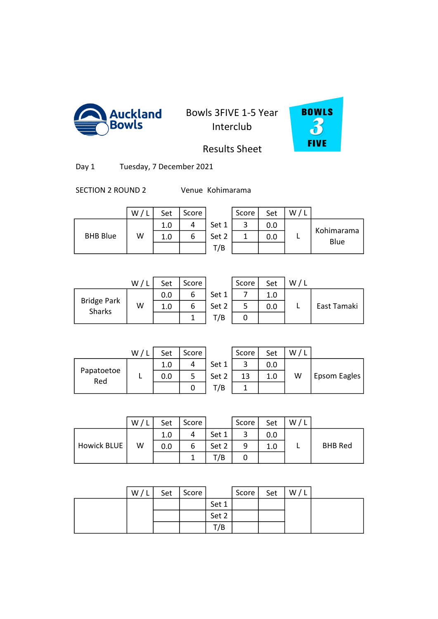



Results Sheet

Day 1 Tuesday, 7 December 2021

SECTION 2 ROUND 2 Venue Kohimarama

|                 | W | Set | Score |       | Score | Set | w |
|-----------------|---|-----|-------|-------|-------|-----|---|
|                 |   | 1.0 |       | Set 1 | ∽     | 0.0 |   |
| <b>BHB Blue</b> | W | 1.0 | o     | Set 2 |       | 0.0 |   |
|                 |   |     |       | T/B   |       |     |   |

|                 | W | Set | Score |       | Score | Set | w |                    |
|-----------------|---|-----|-------|-------|-------|-----|---|--------------------|
|                 |   | 1.0 |       | Set 1 |       | 0.0 |   |                    |
| <b>BHB Blue</b> | W | T.N | o     | Set 2 |       | 0.0 |   | Kohimarama<br>Blue |
|                 |   |     |       | T/B   |       |     |   |                    |

|                              | W/1 | Set | Score |       | Score | Set |  |
|------------------------------|-----|-----|-------|-------|-------|-----|--|
|                              |     | 0.0 | ь     | Set 1 |       | 1.0 |  |
| <b>Bridge Park</b><br>Sharks | W   | 1.0 | 6     | Set 2 |       | 0.0 |  |
|                              |     |     |       | T/B   |       |     |  |
|                              |     |     |       |       |       |     |  |

|                            | W | Set | Score |       | Score | Set | W/L |             |
|----------------------------|---|-----|-------|-------|-------|-----|-----|-------------|
|                            |   | 0.0 |       | Set 1 |       | 1.0 |     |             |
| idge Park<br><b>Sharks</b> | W | 1.0 |       | Set 2 |       | 0.0 |     | East Tamaki |
|                            |   |     |       | T/B   |       |     |     |             |

|                   | W/ | Set | Score |    |
|-------------------|----|-----|-------|----|
|                   |    | 1.0 |       | Sє |
| Papatoetoe<br>Red |    | 0.0 |       | ŠЄ |
|                   |    |     |       |    |

|                | W/ | Set | Score |       | Score | Set | W/L |              |
|----------------|----|-----|-------|-------|-------|-----|-----|--------------|
|                |    | 1.0 |       | Set 1 | ◠     |     |     |              |
| atoetoe<br>Red |    | 0.0 |       | Set 2 | 13    | 1.0 | W   | Epsom Eagles |
|                |    |     |       | T/B   |       |     |     |              |

|                    | W/1 | Set | Score |       | Score | Set | W/L |                |
|--------------------|-----|-----|-------|-------|-------|-----|-----|----------------|
|                    |     | 1.0 | 4     | Set 1 | ว     | 0.0 |     |                |
| <b>Howick BLUE</b> | W   | 0.0 | 6     | Set 2 | 9     | 1.0 |     | <b>BHB Red</b> |
|                    |     |     |       | T/B   |       |     |     |                |
|                    |     |     |       |       |       |     |     |                |

0 1.0 9 1.0 9 1.0 9 1.0 9 1.0 9 1.0 9 1.0 9 1.0 9 1.0 9 1.0 9 1.0 9 1.0 9 1.0 9 1.0 9 1.0 9 1.0 9 1.0 9 1.0 9

| W/L | Set   Score |       | Score | Set | W/L |  |
|-----|-------------|-------|-------|-----|-----|--|
|     |             | Set 1 |       |     |     |  |
|     |             | Set 2 |       |     |     |  |
|     |             | T/B   |       |     |     |  |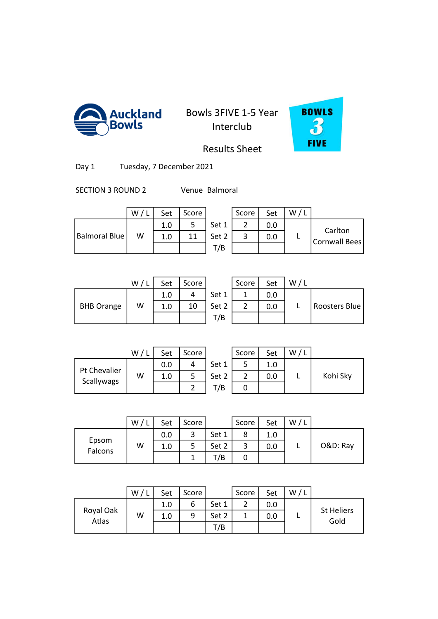



Results Sheet

Day 1 Tuesday, 7 December 2021

SECTION 3 ROUND 2 Venue Balmoral

|               | W | Set | Score |       | Score | Set | W / |                          |
|---------------|---|-----|-------|-------|-------|-----|-----|--------------------------|
|               |   | 1.0 |       | Set 1 |       | 0.0 |     |                          |
| Balmoral Blue | W | 1.0 | 11    | Set 2 |       | 0.0 |     | Carlton<br>Cornwall Bees |
|               |   |     |       | T/B   |       |     |     |                          |

|                   | W / L | Set | Score |       | Score | Set | / L<br>W |
|-------------------|-------|-----|-------|-------|-------|-----|----------|
|                   |       | 1.0 |       | Set 1 |       | 0.0 |          |
| <b>BHB Orange</b> | W     | 1.0 | 10    | Set 2 |       | 0.0 |          |
|                   |       |     |       | T/B   |       |     |          |
|                   |       |     |       |       |       |     |          |

|                   | W | Set | Score |       | Score | Set | W/1 |               |
|-------------------|---|-----|-------|-------|-------|-----|-----|---------------|
|                   |   | 1.0 |       | Set 1 |       | 0.0 |     |               |
| <b>BHB Orange</b> | W | 1.0 | 10    | Set 2 | ∸     | 0.0 |     | Roosters Blue |
|                   |   |     |       | T/B   |       |     |     |               |

|              | W, | Set | Score |       | Score | Set | W |          |
|--------------|----|-----|-------|-------|-------|-----|---|----------|
|              |    | 0.0 |       | Set 1 |       | 1.0 |   |          |
| Pt Chevalier | w  | 1.0 |       | Set 2 |       | 0.0 |   | Kohi Sky |
| Scallywags   |    |     |       | T/B   |       |     |   |          |

| W/L | Set | Score |       | Score | Set | W/L |          |
|-----|-----|-------|-------|-------|-----|-----|----------|
|     | 0.0 |       | Set 1 |       | 1.0 |     |          |
| W   | 1.0 |       | Set 2 |       | 0.0 |     | Kohi Sky |
|     |     |       | T/B   |       |     |     |          |

|                  | W | Set | Score |       | Score | Set | W |          |
|------------------|---|-----|-------|-------|-------|-----|---|----------|
|                  |   | 0.0 | 3     | Set 1 | 8     | 1.0 |   |          |
| Epsom<br>Falcons | W | 1.0 | 5     | Set 2 | 3     | 0.0 |   | O&D: Ray |
|                  |   |     |       | 7B    | U     |     |   |          |
|                  |   |     |       |       |       |     |   |          |

3 1.0 9 7 1.0 0

|                    | W | Set | Score |       | Score | Set | W |                           |
|--------------------|---|-----|-------|-------|-------|-----|---|---------------------------|
|                    |   | 1.0 | b     | Set 1 |       | 0.0 |   |                           |
| Royal Oak<br>Atlas | W | 1.0 | 9     | Set 2 |       | 0.0 |   | <b>St Heliers</b><br>Gold |
|                    |   |     |       | T/B   |       |     |   |                           |